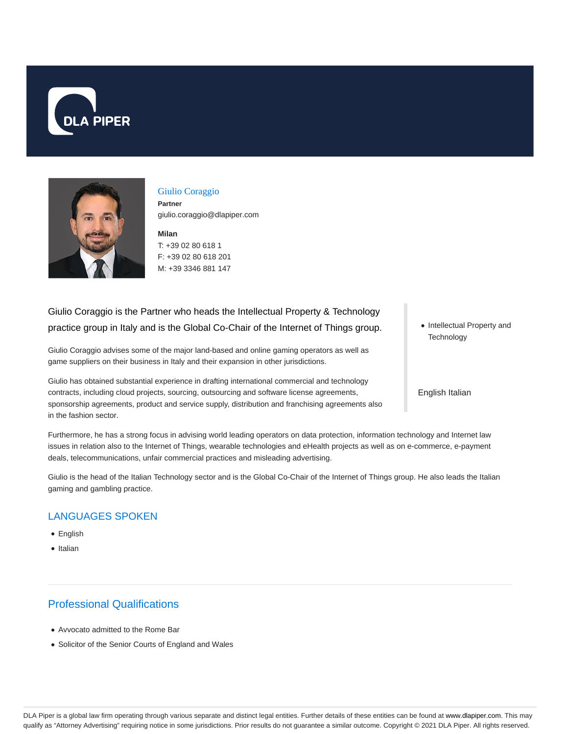



#### Giulio Coraggio

**Partner** giulio.coraggio@dlapiper.com

**Milan** T: +39 02 80 618 1 F: +39 02 80 618 201 M: +39 3346 881 147

# Giulio Coraggio is the Partner who heads the Intellectual Property & Technology practice group in Italy and is the Global Co-Chair of the Internet of Things group.

Giulio Coraggio advises some of the major land-based and online gaming operators as well as game suppliers on their business in Italy and their expansion in other jurisdictions.

Giulio has obtained substantial experience in drafting international commercial and technology contracts, including cloud projects, sourcing, outsourcing and software license agreements, sponsorship agreements, product and service supply, distribution and franchising agreements also in the fashion sector.

• Intellectual Property and **Technology** 

English Italian

Furthermore, he has a strong focus in advising world leading operators on data protection, information technology and Internet law issues in relation also to the Internet of Things, wearable technologies and eHealth projects as well as on e-commerce, e-payment deals, telecommunications, unfair commercial practices and misleading advertising.

Giulio is the head of the Italian Technology sector and is the Global Co-Chair of the Internet of Things group. He also leads the Italian gaming and gambling practice.

#### LANGUAGES SPOKEN

- English
- Italian

## Professional Qualifications

- Avvocato admitted to the Rome Bar
- Solicitor of the Senior Courts of England and Wales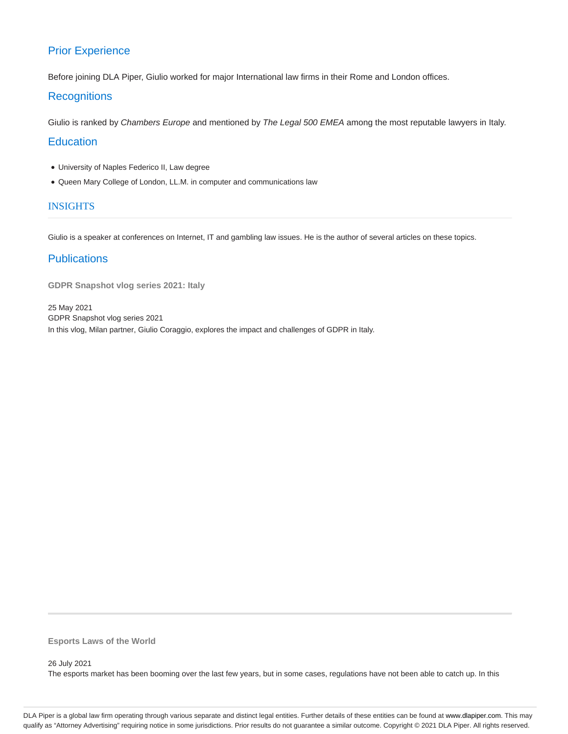# Prior Experience

Before joining DLA Piper, Giulio worked for major International law firms in their Rome and London offices.

### **Recognitions**

Giulio is ranked by Chambers Europe and mentioned by The Legal 500 EMEA among the most reputable lawyers in Italy.

### **Education**

- University of Naples Federico II, Law degree
- Queen Mary College of London, LL.M. in computer and communications law

#### INSIGHTS

Giulio is a speaker at conferences on Internet, IT and gambling law issues. He is the author of several articles on these topics.

### **Publications**

**GDPR Snapshot vlog series 2021: Italy**

25 May 2021 GDPR Snapshot vlog series 2021 In this vlog, Milan partner, Giulio Coraggio, explores the impact and challenges of GDPR in Italy.

**Esports Laws of the World**

26 July 2021

The esports market has been booming over the last few years, but in some cases, regulations have not been able to catch up. In this

DLA Piper is a global law firm operating through various separate and distinct legal entities. Further details of these entities can be found at www.dlapiper.com. This may qualify as "Attorney Advertising" requiring notice in some jurisdictions. Prior results do not guarantee a similar outcome. Copyright © 2021 DLA Piper. All rights reserved.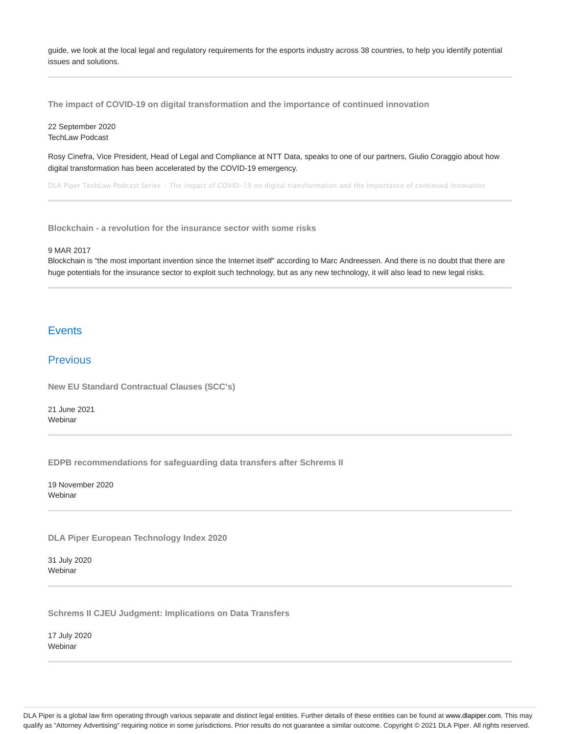guide, we look at the local legal and regulatory requirements for the esports industry across 38 countries, to help you identify potential issues and solutions.

**The impact of COVID-19 on digital transformation and the importance of continued innovation**

22 September 2020 TechLaw Podcast

Rosy Cinefra, Vice President, Head of Legal and Compliance at NTT Data, speaks to one of our partners, Giulio Coraggio about how digital transformation has been accelerated by the COVID-19 emergency.

DLA Piper TechLaw Podcast Series · The impact of COVID-19 on digital transformation and the importance of continued innovation

**Blockchain - a revolution for the insurance sector with some risks**

#### 9 MAR 2017

Blockchain is "the most important invention since the Internet itself" according to Marc Andreessen. And there is no doubt that there are huge potentials for the insurance sector to exploit such technology, but as any new technology, it will also lead to new legal risks.

### **Events**

#### Previous

**New EU Standard Contractual Clauses (SCC's)**

21 June 2021 Webinar

**EDPB recommendations for safeguarding data transfers after Schrems II**

19 November 2020 Webinar

**DLA Piper European Technology Index 2020**

31 July 2020 **Webinar** 

**Schrems II CJEU Judgment: Implications on Data Transfers**

17 July 2020 Webinar